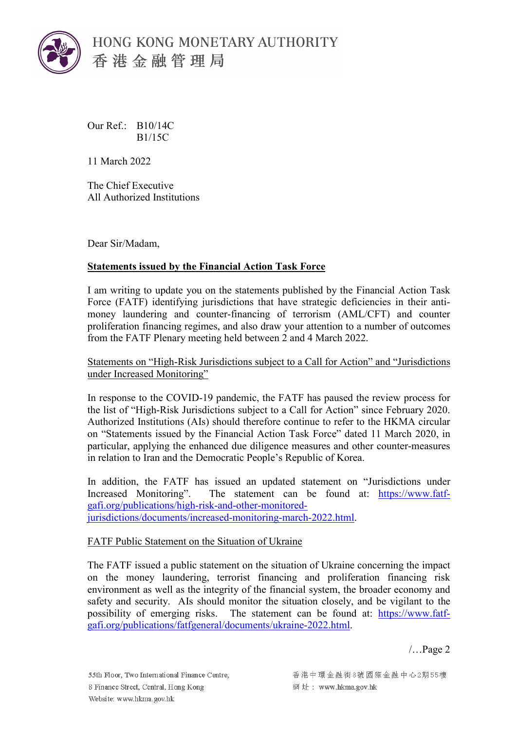

HONG KONG MONETARY AUTHORITY 香港金融管理局

Our Ref.: B10/14C B1/15C

11 March 2022

The Chief Executive All Authorized Institutions

Dear Sir/Madam,

## **Statements issued by the Financial Action Task Force**

I am writing to update you on the statements published by the Financial Action Task Force (FATF) identifying jurisdictions that have strategic deficiencies in their antimoney laundering and counter-financing of terrorism (AML/CFT) and counter proliferation financing regimes, and also draw your attention to a number of outcomes from the FATF Plenary meeting held between 2 and 4 March 2022.

Statements on "High-Risk Jurisdictions subject to a Call for Action" and "Jurisdictions under Increased Monitoring"

In response to the COVID-19 pandemic, the FATF has paused the review process for the list of "High-Risk Jurisdictions subject to a Call for Action" since February 2020. Authorized Institutions (AIs) should therefore continue to refer to the HKMA circular on "Statements issued by the Financial Action Task Force" dated 11 March 2020, in particular, applying the enhanced due diligence measures and other counter-measures in relation to Iran and the Democratic People's Republic of Korea.

In addition, the FATF has issued an updated statement on "Jurisdictions under Increased Monitoring". The statement can be found at: [https://www.fatf](https://www.fatf-gafi.org/publications/high-risk-and-other-monitored-jurisdictions/documents/increased-monitoring-march-2022.html)[gafi.org/publications/high-risk-and-other-monitored](https://www.fatf-gafi.org/publications/high-risk-and-other-monitored-jurisdictions/documents/increased-monitoring-march-2022.html)[jurisdictions/documents/increased-monitoring-march-2022.html.](https://www.fatf-gafi.org/publications/high-risk-and-other-monitored-jurisdictions/documents/increased-monitoring-march-2022.html)

## FATF Public Statement on the Situation of Ukraine

The FATF issued a public statement on the situation of Ukraine concerning the impact on the money laundering, terrorist financing and proliferation financing risk environment as well as the integrity of the financial system, the broader economy and safety and security. AIs should monitor the situation closely, and be vigilant to the possibility of emerging risks. The statement can be found at: [https://www.fatf](https://www.fatf-gafi.org/publications/fatfgeneral/documents/ukraine-2022.html)[gafi.org/publications/fatfgeneral/documents/ukraine-2022.html.](https://www.fatf-gafi.org/publications/fatfgeneral/documents/ukraine-2022.html)

/…Page 2